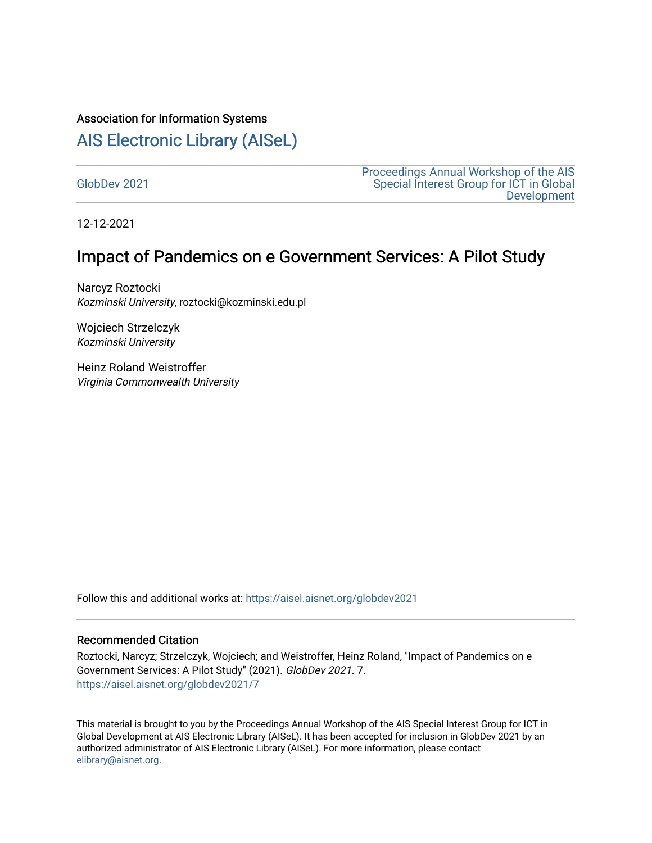#### Association for Information Systems

# [AIS Electronic Library \(AISeL\)](https://aisel.aisnet.org/)

[GlobDev 2021](https://aisel.aisnet.org/globdev2021)

[Proceedings Annual Workshop of the AIS](https://aisel.aisnet.org/globdev)  [Special Interest Group for ICT in Global](https://aisel.aisnet.org/globdev)  [Development](https://aisel.aisnet.org/globdev) 

12-12-2021

# Impact of Pandemics on e Government Services: A Pilot Study

Narcyz Roztocki Kozminski University, roztocki@kozminski.edu.pl

Wojciech Strzelczyk Kozminski University

Heinz Roland Weistroffer Virginia Commonwealth University

Follow this and additional works at: [https://aisel.aisnet.org/globdev2021](https://aisel.aisnet.org/globdev2021?utm_source=aisel.aisnet.org%2Fglobdev2021%2F7&utm_medium=PDF&utm_campaign=PDFCoverPages) 

## Recommended Citation

Roztocki, Narcyz; Strzelczyk, Wojciech; and Weistroffer, Heinz Roland, "Impact of Pandemics on e Government Services: A Pilot Study" (2021). GlobDev 2021. 7. [https://aisel.aisnet.org/globdev2021/7](https://aisel.aisnet.org/globdev2021/7?utm_source=aisel.aisnet.org%2Fglobdev2021%2F7&utm_medium=PDF&utm_campaign=PDFCoverPages)

This material is brought to you by the Proceedings Annual Workshop of the AIS Special Interest Group for ICT in Global Development at AIS Electronic Library (AISeL). It has been accepted for inclusion in GlobDev 2021 by an authorized administrator of AIS Electronic Library (AISeL). For more information, please contact [elibrary@aisnet.org](mailto:elibrary@aisnet.org%3E).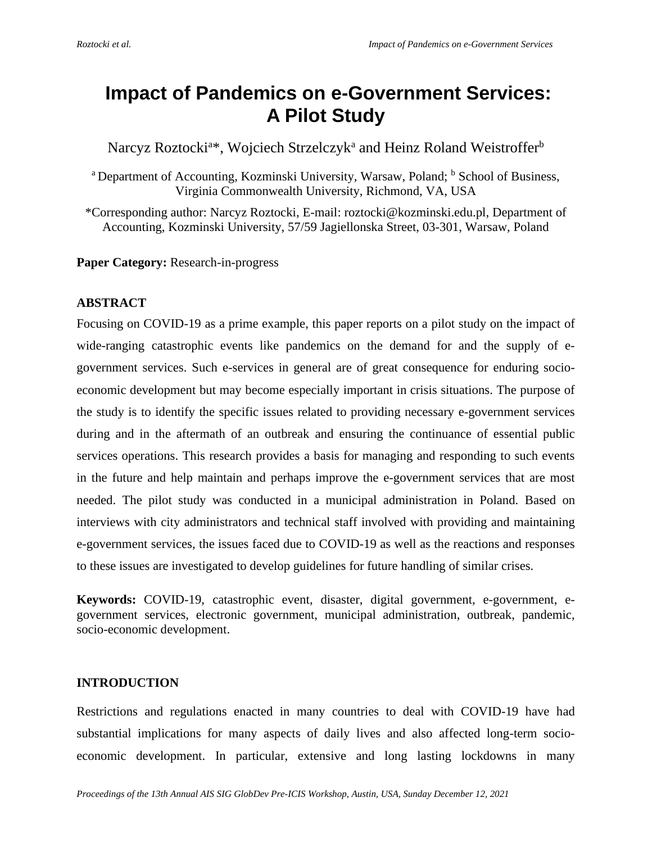# **Impact of Pandemics on e-Government Services: A Pilot Study**

Narcyz Roztocki<sup>a\*</sup>, Wojciech Strzelczyk<sup>a</sup> and Heinz Roland Weistrofferb

<sup>a</sup> Department of Accounting, Kozminski University, Warsaw, Poland; <sup>b</sup> School of Business, Virginia Commonwealth University, Richmond, VA, USA

\*Corresponding author: Narcyz Roztocki, E-mail: roztocki@kozminski.edu.pl, Department of Accounting, Kozminski University, 57/59 Jagiellonska Street, 03-301, Warsaw, Poland

**Paper Category:** Research-in-progress

# **ABSTRACT**

Focusing on COVID-19 as a prime example, this paper reports on a pilot study on the impact of wide-ranging catastrophic events like pandemics on the demand for and the supply of egovernment services. Such e-services in general are of great consequence for enduring socioeconomic development but may become especially important in crisis situations. The purpose of the study is to identify the specific issues related to providing necessary e-government services during and in the aftermath of an outbreak and ensuring the continuance of essential public services operations. This research provides a basis for managing and responding to such events in the future and help maintain and perhaps improve the e-government services that are most needed. The pilot study was conducted in a municipal administration in Poland. Based on interviews with city administrators and technical staff involved with providing and maintaining e-government services, the issues faced due to COVID-19 as well as the reactions and responses to these issues are investigated to develop guidelines for future handling of similar crises.

**Keywords:** COVID-19, catastrophic event, disaster, digital government, e-government, egovernment services, electronic government, municipal administration, outbreak, pandemic, socio-economic development.

# **INTRODUCTION**

Restrictions and regulations enacted in many countries to deal with COVID-19 have had substantial implications for many aspects of daily lives and also affected long-term socioeconomic development. In particular, extensive and long lasting lockdowns in many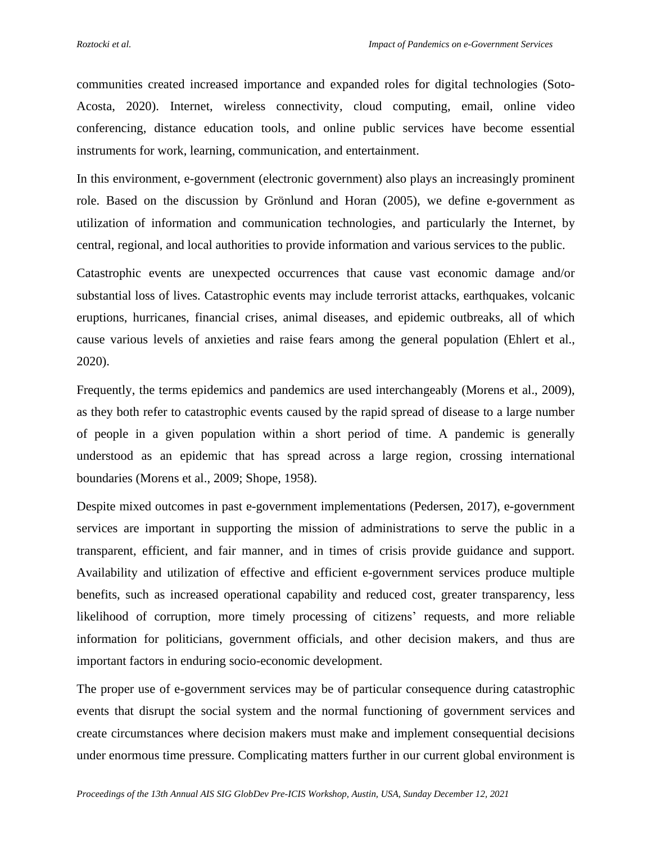communities created increased importance and expanded roles for digital technologies (Soto-Acosta, 2020). Internet, wireless connectivity, cloud computing, email, online video conferencing, distance education tools, and online public services have become essential instruments for work, learning, communication, and entertainment.

In this environment, e-government (electronic government) also plays an increasingly prominent role. Based on the discussion by Grönlund and Horan (2005), we define e-government as utilization of information and communication technologies, and particularly the Internet, by central, regional, and local authorities to provide information and various services to the public.

Catastrophic events are unexpected occurrences that cause vast economic damage and/or substantial loss of lives. Catastrophic events may include terrorist attacks, earthquakes, volcanic eruptions, hurricanes, financial crises, animal diseases, and epidemic outbreaks, all of which cause various levels of anxieties and raise fears among the general population (Ehlert et al., 2020).

Frequently, the terms epidemics and pandemics are used interchangeably (Morens et al., 2009), as they both refer to catastrophic events caused by the rapid spread of disease to a large number of people in a given population within a short period of time. A pandemic is generally understood as an epidemic that has spread across a large region, crossing international boundaries (Morens et al., 2009; Shope, 1958).

Despite mixed outcomes in past e-government implementations (Pedersen, 2017), e-government services are important in supporting the mission of administrations to serve the public in a transparent, efficient, and fair manner, and in times of crisis provide guidance and support. Availability and utilization of effective and efficient e-government services produce multiple benefits, such as increased operational capability and reduced cost, greater transparency, less likelihood of corruption, more timely processing of citizens' requests, and more reliable information for politicians, government officials, and other decision makers, and thus are important factors in enduring socio-economic development.

The proper use of e-government services may be of particular consequence during catastrophic events that disrupt the social system and the normal functioning of government services and create circumstances where decision makers must make and implement consequential decisions under enormous time pressure. Complicating matters further in our current global environment is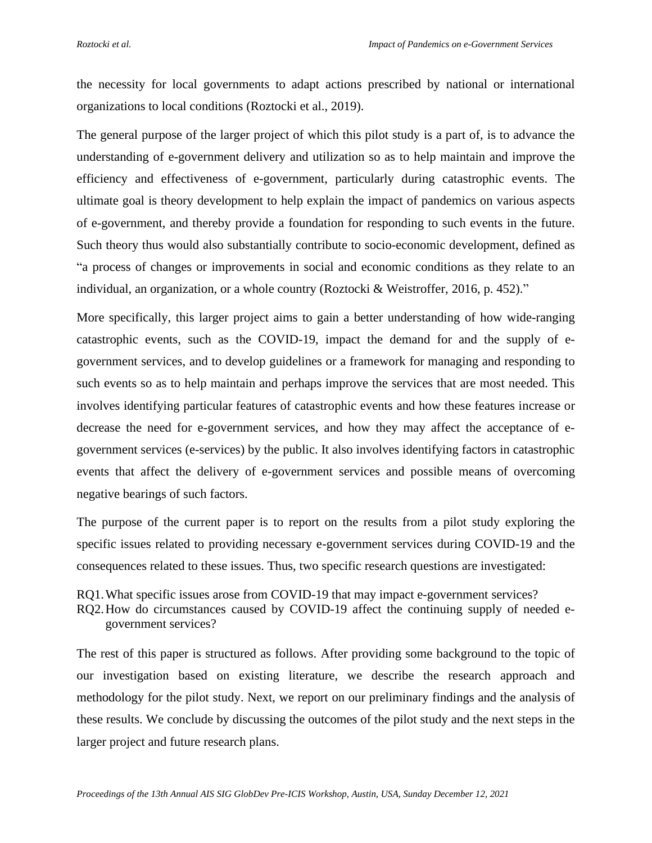the necessity for local governments to adapt actions prescribed by national or international organizations to local conditions (Roztocki et al., 2019).

The general purpose of the larger project of which this pilot study is a part of, is to advance the understanding of e-government delivery and utilization so as to help maintain and improve the efficiency and effectiveness of e-government, particularly during catastrophic events. The ultimate goal is theory development to help explain the impact of pandemics on various aspects of e-government, and thereby provide a foundation for responding to such events in the future. Such theory thus would also substantially contribute to socio-economic development, defined as "a process of changes or improvements in social and economic conditions as they relate to an individual, an organization, or a whole country (Roztocki & Weistroffer, 2016, p. 452)."

More specifically, this larger project aims to gain a better understanding of how wide-ranging catastrophic events, such as the COVID-19, impact the demand for and the supply of egovernment services, and to develop guidelines or a framework for managing and responding to such events so as to help maintain and perhaps improve the services that are most needed. This involves identifying particular features of catastrophic events and how these features increase or decrease the need for e-government services, and how they may affect the acceptance of egovernment services (e-services) by the public. It also involves identifying factors in catastrophic events that affect the delivery of e-government services and possible means of overcoming negative bearings of such factors.

The purpose of the current paper is to report on the results from a pilot study exploring the specific issues related to providing necessary e-government services during COVID-19 and the consequences related to these issues. Thus, two specific research questions are investigated:

RQ1.What specific issues arose from COVID-19 that may impact e-government services?

RQ2.How do circumstances caused by COVID-19 affect the continuing supply of needed egovernment services?

The rest of this paper is structured as follows. After providing some background to the topic of our investigation based on existing literature, we describe the research approach and methodology for the pilot study. Next, we report on our preliminary findings and the analysis of these results. We conclude by discussing the outcomes of the pilot study and the next steps in the larger project and future research plans.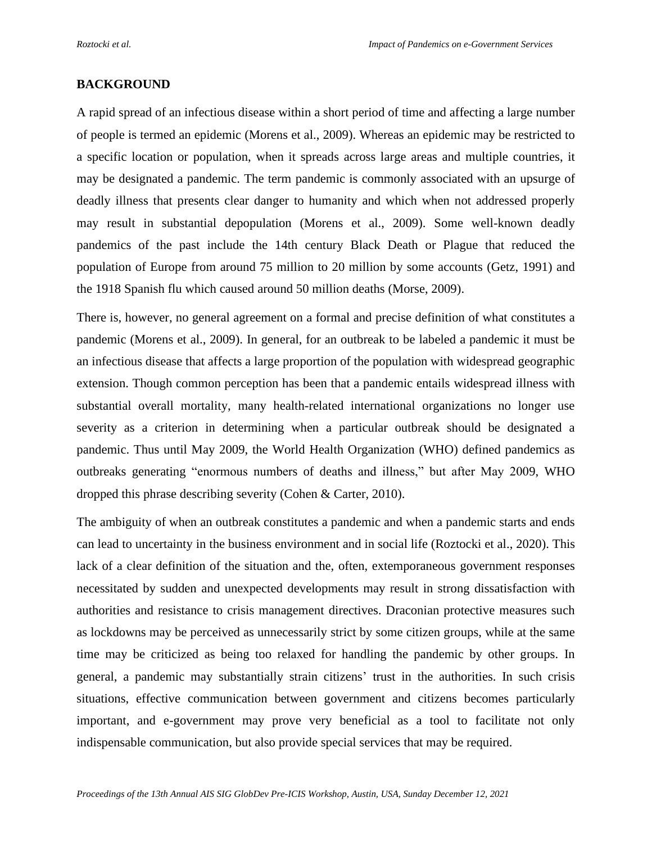#### **BACKGROUND**

A rapid spread of an infectious disease within a short period of time and affecting a large number of people is termed an epidemic (Morens et al., 2009). Whereas an epidemic may be restricted to a specific location or population, when it spreads across large areas and multiple countries, it may be designated a pandemic. The term pandemic is commonly associated with an upsurge of deadly illness that presents clear danger to humanity and which when not addressed properly may result in substantial depopulation (Morens et al., 2009). Some well-known deadly pandemics of the past include the 14th century Black Death or Plague that reduced the population of Europe from around 75 million to 20 million by some accounts (Getz, 1991) and the 1918 Spanish flu which caused around 50 million deaths (Morse, 2009).

There is, however, no general agreement on a formal and precise definition of what constitutes a pandemic (Morens et al., 2009). In general, for an outbreak to be labeled a pandemic it must be an infectious disease that affects a large proportion of the population with widespread geographic extension. Though common perception has been that a pandemic entails widespread illness with substantial overall mortality, many health-related international organizations no longer use severity as a criterion in determining when a particular outbreak should be designated a pandemic. Thus until May 2009, the World Health Organization (WHO) defined pandemics as outbreaks generating "enormous numbers of deaths and illness," but after May 2009, WHO dropped this phrase describing severity (Cohen & Carter, 2010).

The ambiguity of when an outbreak constitutes a pandemic and when a pandemic starts and ends can lead to uncertainty in the business environment and in social life (Roztocki et al., 2020). This lack of a clear definition of the situation and the, often, extemporaneous government responses necessitated by sudden and unexpected developments may result in strong dissatisfaction with authorities and resistance to crisis management directives. Draconian protective measures such as lockdowns may be perceived as unnecessarily strict by some citizen groups, while at the same time may be criticized as being too relaxed for handling the pandemic by other groups. In general, a pandemic may substantially strain citizens' trust in the authorities. In such crisis situations, effective communication between government and citizens becomes particularly important, and e-government may prove very beneficial as a tool to facilitate not only indispensable communication, but also provide special services that may be required.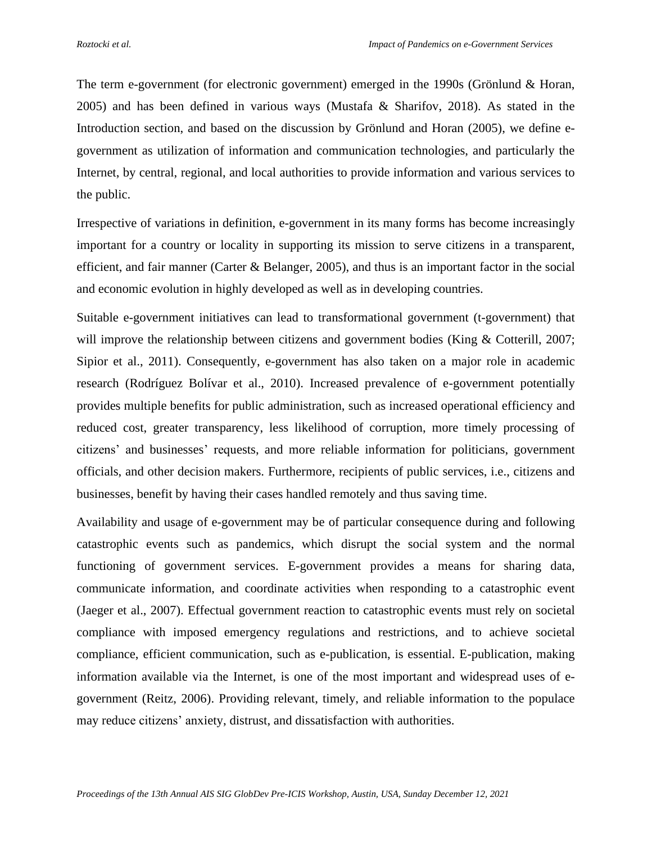The term e-government (for electronic government) emerged in the 1990s (Grönlund & Horan, 2005) and has been defined in various ways (Mustafa & Sharifov, 2018). As stated in the Introduction section, and based on the discussion by Grönlund and Horan (2005), we define egovernment as utilization of information and communication technologies, and particularly the Internet, by central, regional, and local authorities to provide information and various services to the public.

Irrespective of variations in definition, e-government in its many forms has become increasingly important for a country or locality in supporting its mission to serve citizens in a transparent, efficient, and fair manner (Carter & Belanger, 2005), and thus is an important factor in the social and economic evolution in highly developed as well as in developing countries.

Suitable e-government initiatives can lead to transformational government (t-government) that will improve the relationship between citizens and government bodies (King & Cotterill, 2007; Sipior et al., 2011). Consequently, e-government has also taken on a major role in academic research (Rodríguez Bolívar et al., 2010). Increased prevalence of e-government potentially provides multiple benefits for public administration, such as increased operational efficiency and reduced cost, greater transparency, less likelihood of corruption, more timely processing of citizens' and businesses' requests, and more reliable information for politicians, government officials, and other decision makers. Furthermore, recipients of public services, i.e., citizens and businesses, benefit by having their cases handled remotely and thus saving time.

Availability and usage of e-government may be of particular consequence during and following catastrophic events such as pandemics, which disrupt the social system and the normal functioning of government services. E-government provides a means for sharing data, communicate information, and coordinate activities when responding to a catastrophic event (Jaeger et al., 2007). Effectual government reaction to catastrophic events must rely on societal compliance with imposed emergency regulations and restrictions, and to achieve societal compliance, efficient communication, such as e-publication, is essential. E-publication, making information available via the Internet, is one of the most important and widespread uses of egovernment (Reitz, 2006). Providing relevant, timely, and reliable information to the populace may reduce citizens' anxiety, distrust, and dissatisfaction with authorities.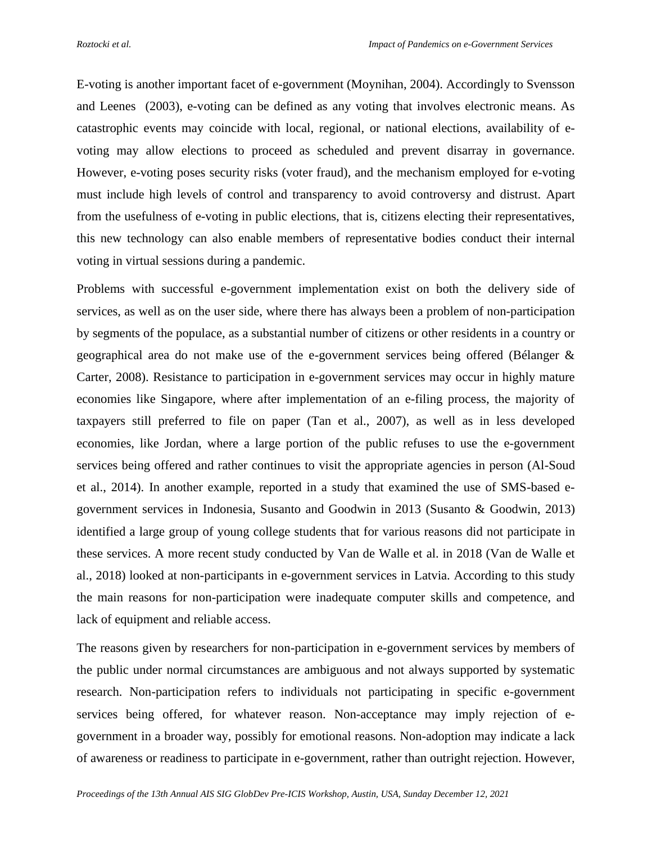E-voting is another important facet of e-government (Moynihan, 2004). Accordingly to Svensson and Leenes (2003), e-voting can be defined as any voting that involves electronic means. As catastrophic events may coincide with local, regional, or national elections, availability of evoting may allow elections to proceed as scheduled and prevent disarray in governance. However, e-voting poses security risks (voter fraud), and the mechanism employed for e-voting must include high levels of control and transparency to avoid controversy and distrust. Apart from the usefulness of e-voting in public elections, that is, citizens electing their representatives, this new technology can also enable members of representative bodies conduct their internal voting in virtual sessions during a pandemic.

Problems with successful e-government implementation exist on both the delivery side of services, as well as on the user side, where there has always been a problem of non-participation by segments of the populace, as a substantial number of citizens or other residents in a country or geographical area do not make use of the e-government services being offered (Bélanger & Carter, 2008). Resistance to participation in e-government services may occur in highly mature economies like Singapore, where after implementation of an e-filing process, the majority of taxpayers still preferred to file on paper (Tan et al., 2007), as well as in less developed economies, like Jordan, where a large portion of the public refuses to use the e-government services being offered and rather continues to visit the appropriate agencies in person (Al-Soud et al., 2014). In another example, reported in a study that examined the use of SMS-based egovernment services in Indonesia, Susanto and Goodwin in 2013 (Susanto & Goodwin, 2013) identified a large group of young college students that for various reasons did not participate in these services. A more recent study conducted by Van de Walle et al. in 2018 (Van de Walle et al., 2018) looked at non-participants in e-government services in Latvia. According to this study the main reasons for non-participation were inadequate computer skills and competence, and lack of equipment and reliable access.

The reasons given by researchers for non-participation in e-government services by members of the public under normal circumstances are ambiguous and not always supported by systematic research. Non-participation refers to individuals not participating in specific e-government services being offered, for whatever reason. Non-acceptance may imply rejection of egovernment in a broader way, possibly for emotional reasons. Non-adoption may indicate a lack of awareness or readiness to participate in e-government, rather than outright rejection. However,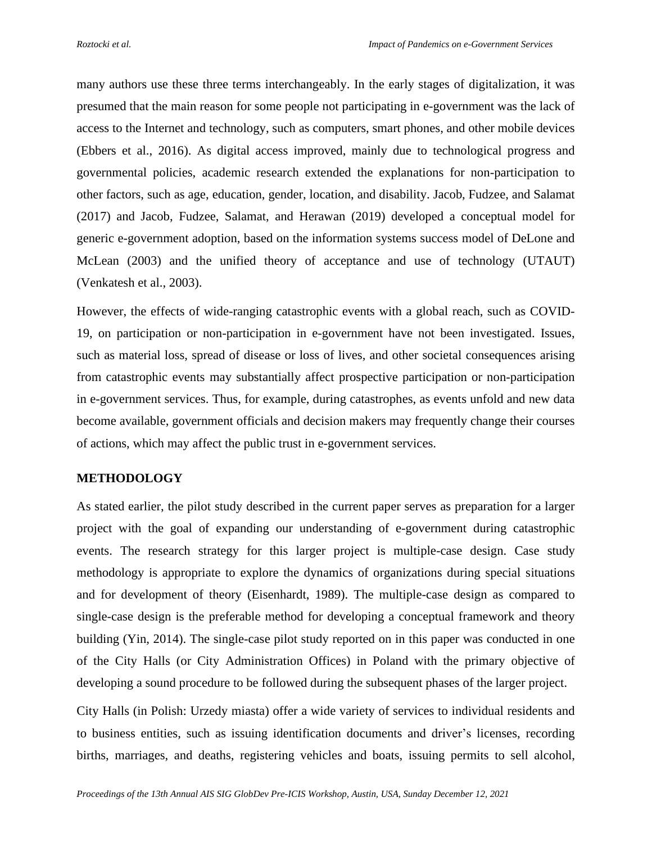many authors use these three terms interchangeably. In the early stages of digitalization, it was presumed that the main reason for some people not participating in e-government was the lack of access to the Internet and technology, such as computers, smart phones, and other mobile devices (Ebbers et al., 2016). As digital access improved, mainly due to technological progress and governmental policies, academic research extended the explanations for non-participation to other factors, such as age, education, gender, location, and disability. Jacob, Fudzee, and Salamat (2017) and Jacob, Fudzee, Salamat, and Herawan (2019) developed a conceptual model for generic e-government adoption, based on the information systems success model of DeLone and McLean (2003) and the unified theory of acceptance and use of technology (UTAUT) (Venkatesh et al., 2003).

However, the effects of wide-ranging catastrophic events with a global reach, such as COVID-19, on participation or non-participation in e-government have not been investigated. Issues, such as material loss, spread of disease or loss of lives, and other societal consequences arising from catastrophic events may substantially affect prospective participation or non-participation in e-government services. Thus, for example, during catastrophes, as events unfold and new data become available, government officials and decision makers may frequently change their courses of actions, which may affect the public trust in e-government services.

# **METHODOLOGY**

As stated earlier, the pilot study described in the current paper serves as preparation for a larger project with the goal of expanding our understanding of e-government during catastrophic events. The research strategy for this larger project is multiple-case design. Case study methodology is appropriate to explore the dynamics of organizations during special situations and for development of theory (Eisenhardt, 1989). The multiple-case design as compared to single-case design is the preferable method for developing a conceptual framework and theory building (Yin, 2014). The single-case pilot study reported on in this paper was conducted in one of the City Halls (or City Administration Offices) in Poland with the primary objective of developing a sound procedure to be followed during the subsequent phases of the larger project.

City Halls (in Polish: Urzedy miasta) offer a wide variety of services to individual residents and to business entities, such as issuing identification documents and driver's licenses, recording births, marriages, and deaths, registering vehicles and boats, issuing permits to sell alcohol,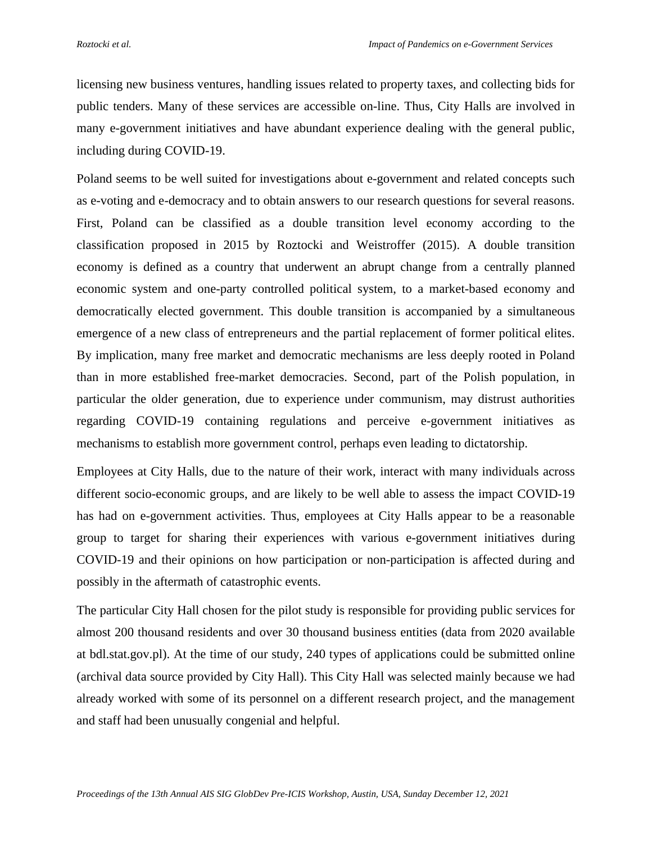licensing new business ventures, handling issues related to property taxes, and collecting bids for public tenders. Many of these services are accessible on-line. Thus, City Halls are involved in many e-government initiatives and have abundant experience dealing with the general public, including during COVID-19.

Poland seems to be well suited for investigations about e-government and related concepts such as e-voting and e-democracy and to obtain answers to our research questions for several reasons. First, Poland can be classified as a double transition level economy according to the classification proposed in 2015 by Roztocki and Weistroffer (2015). A double transition economy is defined as a country that underwent an abrupt change from a centrally planned economic system and one-party controlled political system, to a market-based economy and democratically elected government. This double transition is accompanied by a simultaneous emergence of a new class of entrepreneurs and the partial replacement of former political elites. By implication, many free market and democratic mechanisms are less deeply rooted in Poland than in more established free-market democracies. Second, part of the Polish population, in particular the older generation, due to experience under communism, may distrust authorities regarding COVID-19 containing regulations and perceive e-government initiatives as mechanisms to establish more government control, perhaps even leading to dictatorship.

Employees at City Halls, due to the nature of their work, interact with many individuals across different socio-economic groups, and are likely to be well able to assess the impact COVID-19 has had on e-government activities. Thus, employees at City Halls appear to be a reasonable group to target for sharing their experiences with various e-government initiatives during COVID-19 and their opinions on how participation or non-participation is affected during and possibly in the aftermath of catastrophic events.

The particular City Hall chosen for the pilot study is responsible for providing public services for almost 200 thousand residents and over 30 thousand business entities (data from 2020 available at bdl.stat.gov.pl). At the time of our study, 240 types of applications could be submitted online (archival data source provided by City Hall). This City Hall was selected mainly because we had already worked with some of its personnel on a different research project, and the management and staff had been unusually congenial and helpful.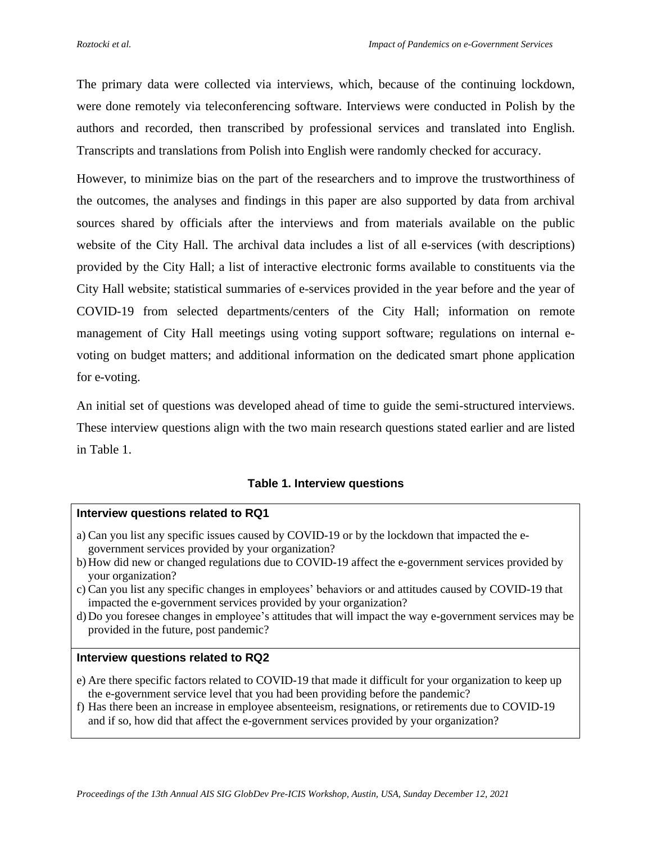The primary data were collected via interviews, which, because of the continuing lockdown, were done remotely via teleconferencing software. Interviews were conducted in Polish by the authors and recorded, then transcribed by professional services and translated into English. Transcripts and translations from Polish into English were randomly checked for accuracy.

However, to minimize bias on the part of the researchers and to improve the trustworthiness of the outcomes, the analyses and findings in this paper are also supported by data from archival sources shared by officials after the interviews and from materials available on the public website of the City Hall. The archival data includes a list of all e-services (with descriptions) provided by the City Hall; a list of interactive electronic forms available to constituents via the City Hall website; statistical summaries of e-services provided in the year before and the year of COVID-19 from selected departments/centers of the City Hall; information on remote management of City Hall meetings using voting support software; regulations on internal evoting on budget matters; and additional information on the dedicated smart phone application for e-voting.

An initial set of questions was developed ahead of time to guide the semi-structured interviews. These interview questions align with the two main research questions stated earlier and are listed in Table 1.

# **Table 1. Interview questions**

#### **Interview questions related to RQ1**

- a) Can you list any specific issues caused by COVID-19 or by the lockdown that impacted the egovernment services provided by your organization?
- b) How did new or changed regulations due to COVID-19 affect the e-government services provided by your organization?
- c) Can you list any specific changes in employees' behaviors or and attitudes caused by COVID-19 that impacted the e-government services provided by your organization?
- d) Do you foresee changes in employee's attitudes that will impact the way e-government services may be provided in the future, post pandemic?

#### **Interview questions related to RQ2**

- e) Are there specific factors related to COVID-19 that made it difficult for your organization to keep up the e-government service level that you had been providing before the pandemic?
- f) Has there been an increase in employee absenteeism, resignations, or retirements due to COVID-19 and if so, how did that affect the e-government services provided by your organization?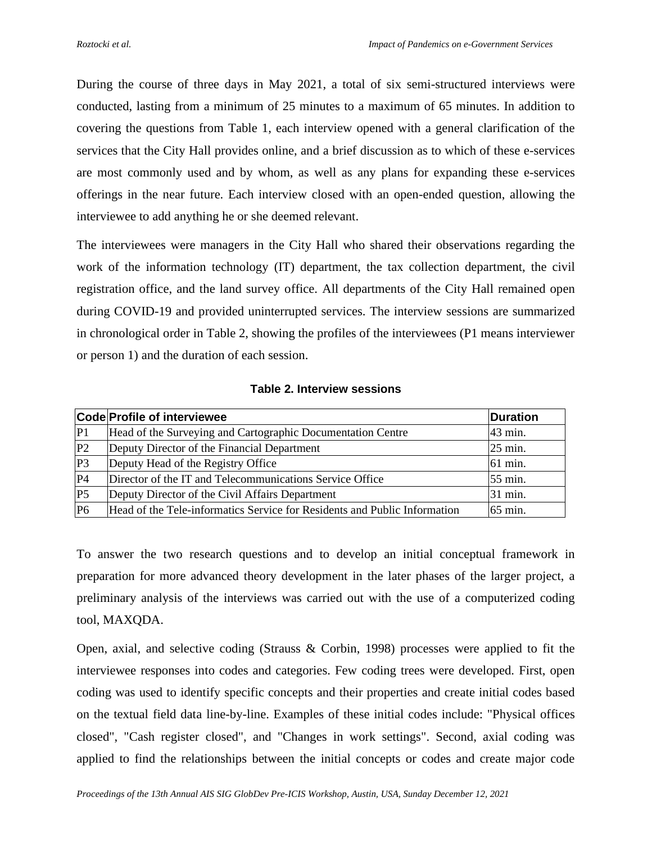During the course of three days in May 2021, a total of six semi-structured interviews were conducted, lasting from a minimum of 25 minutes to a maximum of 65 minutes. In addition to covering the questions from Table 1, each interview opened with a general clarification of the services that the City Hall provides online, and a brief discussion as to which of these e-services are most commonly used and by whom, as well as any plans for expanding these e-services offerings in the near future. Each interview closed with an open-ended question, allowing the interviewee to add anything he or she deemed relevant.

The interviewees were managers in the City Hall who shared their observations regarding the work of the information technology (IT) department, the tax collection department, the civil registration office, and the land survey office. All departments of the City Hall remained open during COVID-19 and provided uninterrupted services. The interview sessions are summarized in chronological order in Table 2, showing the profiles of the interviewees (P1 means interviewer or person 1) and the duration of each session.

| erviewee |  |  |
|----------|--|--|
|          |  |  |

**Table 2. Interview sessions**

|                | Code Profile of interviewee                                               | <b>Duration</b> |
|----------------|---------------------------------------------------------------------------|-----------------|
| P <sub>1</sub> | Head of the Surveying and Cartographic Documentation Centre               | 43 min.         |
| P <sub>2</sub> | Deputy Director of the Financial Department                               | 25 min.         |
| P <sub>3</sub> | Deputy Head of the Registry Office                                        | 61 min.         |
| P <sub>4</sub> | Director of the IT and Telecommunications Service Office                  | 55 min.         |
| P <sub>5</sub> | Deputy Director of the Civil Affairs Department                           | 31 min.         |
| P <sub>6</sub> | Head of the Tele-informatics Service for Residents and Public Information | 65 min.         |

To answer the two research questions and to develop an initial conceptual framework in preparation for more advanced theory development in the later phases of the larger project, a preliminary analysis of the interviews was carried out with the use of a computerized coding tool, MAXQDA.

Open, axial, and selective coding (Strauss & Corbin, 1998) processes were applied to fit the interviewee responses into codes and categories. Few coding trees were developed. First, open coding was used to identify specific concepts and their properties and create initial codes based on the textual field data line-by-line. Examples of these initial codes include: "Physical offices closed", "Cash register closed", and "Changes in work settings". Second, axial coding was applied to find the relationships between the initial concepts or codes and create major code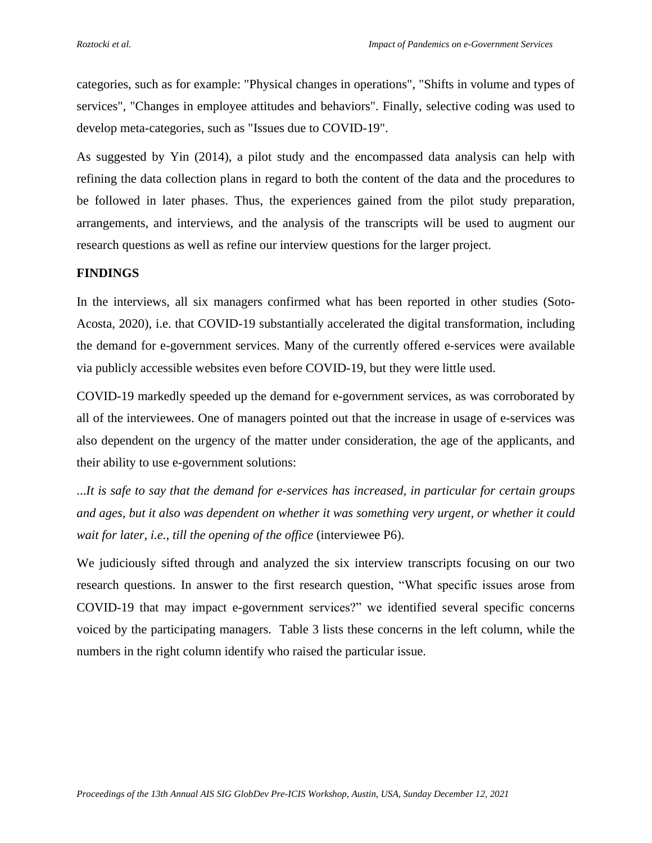categories, such as for example: "Physical changes in operations", "Shifts in volume and types of services", "Changes in employee attitudes and behaviors". Finally, selective coding was used to develop meta-categories, such as "Issues due to COVID-19".

As suggested by Yin (2014), a pilot study and the encompassed data analysis can help with refining the data collection plans in regard to both the content of the data and the procedures to be followed in later phases. Thus, the experiences gained from the pilot study preparation, arrangements, and interviews, and the analysis of the transcripts will be used to augment our research questions as well as refine our interview questions for the larger project.

### **FINDINGS**

In the interviews, all six managers confirmed what has been reported in other studies (Soto-Acosta, 2020), i.e. that COVID-19 substantially accelerated the digital transformation, including the demand for e-government services. Many of the currently offered e-services were available via publicly accessible websites even before COVID-19, but they were little used.

COVID-19 markedly speeded up the demand for e-government services, as was corroborated by all of the interviewees. One of managers pointed out that the increase in usage of e-services was also dependent on the urgency of the matter under consideration, the age of the applicants, and their ability to use e-government solutions:

...*It is safe to say that the demand for e-services has increased, in particular for certain groups and ages, but it also was dependent on whether it was something very urgent, or whether it could wait for later, i.e., till the opening of the office* (interviewee P6).

We judiciously sifted through and analyzed the six interview transcripts focusing on our two research questions. In answer to the first research question, "What specific issues arose from COVID-19 that may impact e-government services?" we identified several specific concerns voiced by the participating managers. Table 3 lists these concerns in the left column, while the numbers in the right column identify who raised the particular issue.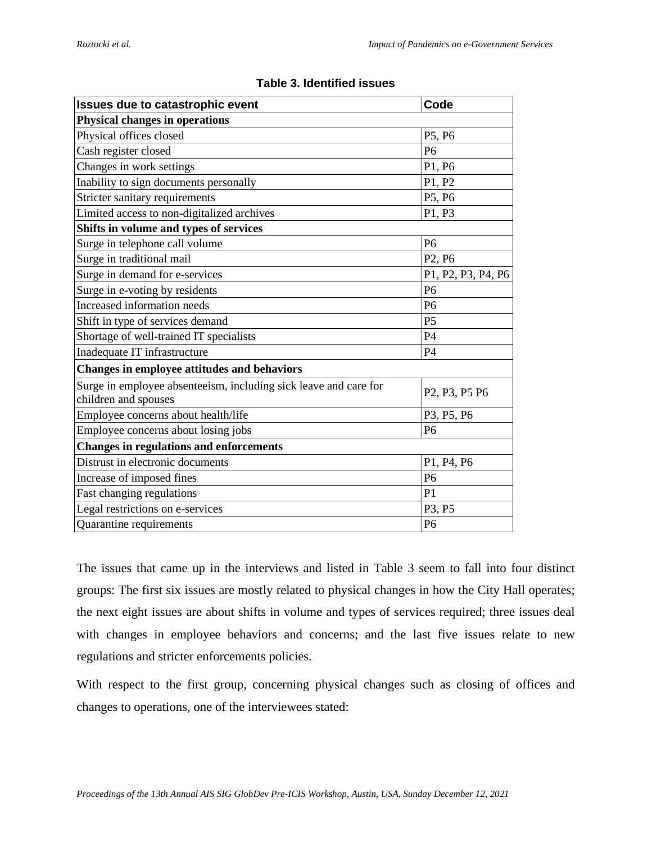| Issues due to catastrophic event                                                         | Code                                                            |  |  |  |
|------------------------------------------------------------------------------------------|-----------------------------------------------------------------|--|--|--|
| <b>Physical changes in operations</b>                                                    |                                                                 |  |  |  |
| Physical offices closed                                                                  | P5, P6                                                          |  |  |  |
| Cash register closed                                                                     | P <sub>6</sub>                                                  |  |  |  |
| Changes in work settings                                                                 | P1, P6                                                          |  |  |  |
| Inability to sign documents personally                                                   | P1, P2                                                          |  |  |  |
| Stricter sanitary requirements                                                           | P5, P6                                                          |  |  |  |
| Limited access to non-digitalized archives                                               | P1, P3                                                          |  |  |  |
| Shifts in volume and types of services                                                   |                                                                 |  |  |  |
| Surge in telephone call volume                                                           | P <sub>6</sub>                                                  |  |  |  |
| Surge in traditional mail                                                                | P <sub>2</sub> , P <sub>6</sub>                                 |  |  |  |
| Surge in demand for e-services                                                           | P1, P2, P3, P4, P6                                              |  |  |  |
| Surge in e-voting by residents                                                           | P <sub>6</sub>                                                  |  |  |  |
| Increased information needs                                                              | P <sub>6</sub>                                                  |  |  |  |
| Shift in type of services demand                                                         | P <sub>5</sub>                                                  |  |  |  |
| Shortage of well-trained IT specialists                                                  | P4                                                              |  |  |  |
| Inadequate IT infrastructure                                                             | P4                                                              |  |  |  |
| Changes in employee attitudes and behaviors                                              |                                                                 |  |  |  |
| Surge in employee absenteeism, including sick leave and care for<br>children and spouses | P <sub>2</sub> , P <sub>3</sub> , P <sub>5</sub> P <sub>6</sub> |  |  |  |
| Employee concerns about health/life                                                      | P3, P5, P6                                                      |  |  |  |
| Employee concerns about losing jobs                                                      | P <sub>6</sub>                                                  |  |  |  |
| <b>Changes in regulations and enforcements</b>                                           |                                                                 |  |  |  |
| Distrust in electronic documents                                                         | P1, P4, P6                                                      |  |  |  |
| Increase of imposed fines                                                                | P <sub>6</sub>                                                  |  |  |  |
| Fast changing regulations                                                                | P <sub>1</sub>                                                  |  |  |  |
| Legal restrictions on e-services                                                         | P3, P5                                                          |  |  |  |
| Quarantine requirements                                                                  | P <sub>6</sub>                                                  |  |  |  |

# **Table 3. Identified issues**

The issues that came up in the interviews and listed in Table 3 seem to fall into four distinct groups: The first six issues are mostly related to physical changes in how the City Hall operates; the next eight issues are about shifts in volume and types of services required; three issues deal with changes in employee behaviors and concerns; and the last five issues relate to new regulations and stricter enforcements policies.

With respect to the first group, concerning physical changes such as closing of offices and changes to operations, one of the interviewees stated: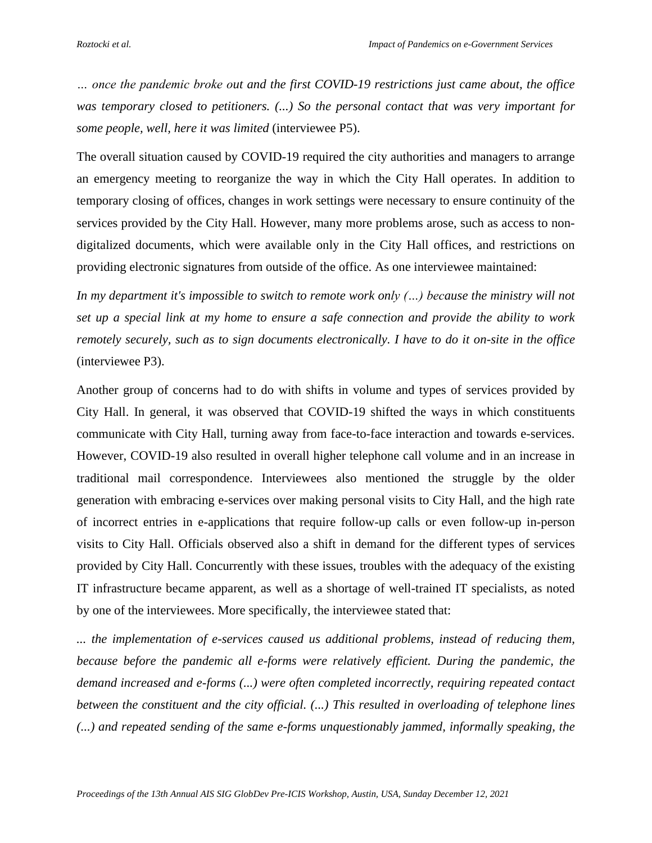*… once the pandemic broke out and the first COVID-19 restrictions just came about, the office was temporary closed to petitioners. (...) So the personal contact that was very important for some people, well, here it was limited* (interviewee P5).

The overall situation caused by COVID-19 required the city authorities and managers to arrange an emergency meeting to reorganize the way in which the City Hall operates. In addition to temporary closing of offices, changes in work settings were necessary to ensure continuity of the services provided by the City Hall. However, many more problems arose, such as access to nondigitalized documents, which were available only in the City Hall offices, and restrictions on providing electronic signatures from outside of the office. As one interviewee maintained:

*In my department it's impossible to switch to remote work only (…) because the ministry will not set up a special link at my home to ensure a safe connection and provide the ability to work remotely securely, such as to sign documents electronically. I have to do it on-site in the office* (interviewee P3).

Another group of concerns had to do with shifts in volume and types of services provided by City Hall. In general, it was observed that COVID-19 shifted the ways in which constituents communicate with City Hall, turning away from face-to-face interaction and towards e-services. However, COVID-19 also resulted in overall higher telephone call volume and in an increase in traditional mail correspondence. Interviewees also mentioned the struggle by the older generation with embracing e-services over making personal visits to City Hall, and the high rate of incorrect entries in e-applications that require follow-up calls or even follow-up in-person visits to City Hall. Officials observed also a shift in demand for the different types of services provided by City Hall. Concurrently with these issues, troubles with the adequacy of the existing IT infrastructure became apparent, as well as a shortage of well-trained IT specialists, as noted by one of the interviewees. More specifically, the interviewee stated that:

*... the implementation of e-services caused us additional problems, instead of reducing them, because before the pandemic all e-forms were relatively efficient. During the pandemic, the demand increased and e-forms (...) were often completed incorrectly, requiring repeated contact between the constituent and the city official. (...) This resulted in overloading of telephone lines (...) and repeated sending of the same e-forms unquestionably jammed, informally speaking, the*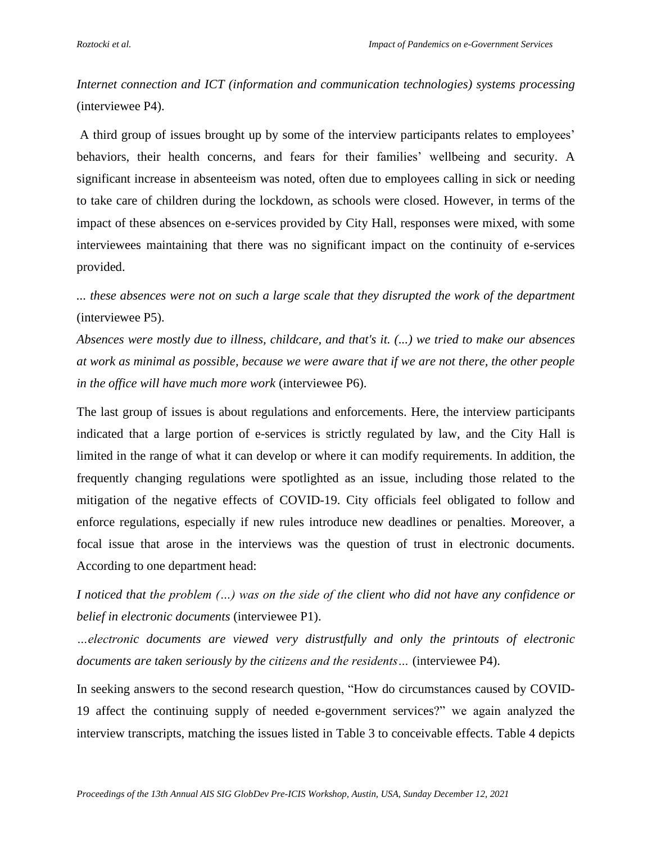*Internet connection and ICT (information and communication technologies) systems processing* (interviewee P4).

A third group of issues brought up by some of the interview participants relates to employees' behaviors, their health concerns, and fears for their families' wellbeing and security. A significant increase in absenteeism was noted, often due to employees calling in sick or needing to take care of children during the lockdown, as schools were closed. However, in terms of the impact of these absences on e-services provided by City Hall, responses were mixed, with some interviewees maintaining that there was no significant impact on the continuity of e-services provided.

*... these absences were not on such a large scale that they disrupted the work of the department* (interviewee P5).

*Absences were mostly due to illness, childcare, and that's it. (...) we tried to make our absences at work as minimal as possible, because we were aware that if we are not there, the other people in the office will have much more work* (interviewee P6).

The last group of issues is about regulations and enforcements. Here, the interview participants indicated that a large portion of e-services is strictly regulated by law, and the City Hall is limited in the range of what it can develop or where it can modify requirements. In addition, the frequently changing regulations were spotlighted as an issue, including those related to the mitigation of the negative effects of COVID-19. City officials feel obligated to follow and enforce regulations, especially if new rules introduce new deadlines or penalties. Moreover, a focal issue that arose in the interviews was the question of trust in electronic documents. According to one department head:

*I noticed that the problem (…) was on the side of the client who did not have any confidence or belief in electronic documents* (interviewee P1).

*…electronic documents are viewed very distrustfully and only the printouts of electronic documents are taken seriously by the citizens and the residents…* (interviewee P4).

In seeking answers to the second research question, "How do circumstances caused by COVID-19 affect the continuing supply of needed e-government services?" we again analyzed the interview transcripts, matching the issues listed in Table 3 to conceivable effects. Table 4 depicts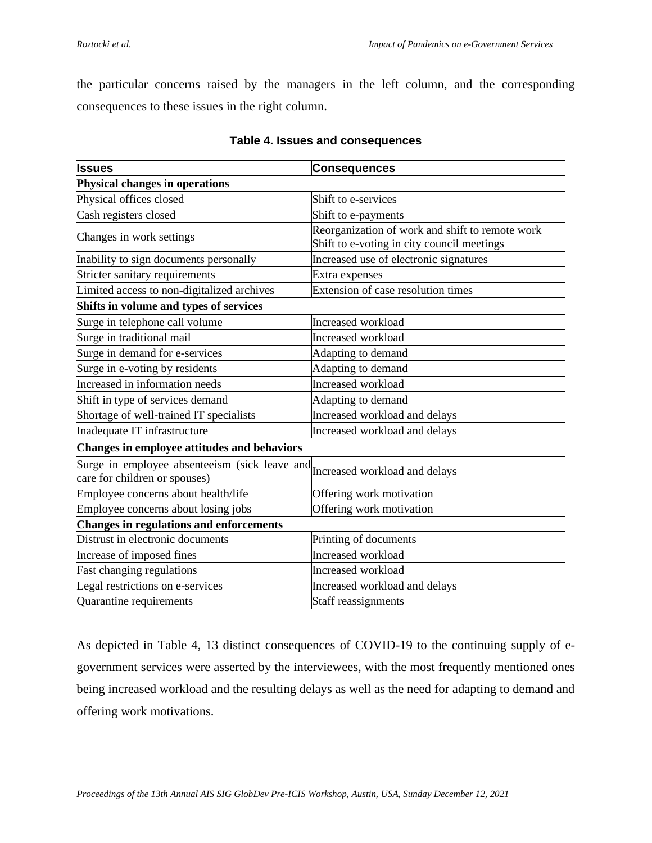the particular concerns raised by the managers in the left column, and the corresponding consequences to these issues in the right column.

| <b>Issues</b>                                                                                                | <b>Consequences</b>                                                                           |  |  |  |
|--------------------------------------------------------------------------------------------------------------|-----------------------------------------------------------------------------------------------|--|--|--|
| Physical changes in operations                                                                               |                                                                                               |  |  |  |
| Physical offices closed                                                                                      | Shift to e-services                                                                           |  |  |  |
| Cash registers closed                                                                                        | Shift to e-payments                                                                           |  |  |  |
| Changes in work settings                                                                                     | Reorganization of work and shift to remote work<br>Shift to e-voting in city council meetings |  |  |  |
| Inability to sign documents personally                                                                       | Increased use of electronic signatures                                                        |  |  |  |
| Stricter sanitary requirements                                                                               | Extra expenses                                                                                |  |  |  |
| Limited access to non-digitalized archives                                                                   | Extension of case resolution times                                                            |  |  |  |
| Shifts in volume and types of services                                                                       |                                                                                               |  |  |  |
| Surge in telephone call volume                                                                               | Increased workload                                                                            |  |  |  |
| Surge in traditional mail                                                                                    | Increased workload                                                                            |  |  |  |
| Surge in demand for e-services                                                                               | Adapting to demand                                                                            |  |  |  |
| Surge in e-voting by residents                                                                               | Adapting to demand                                                                            |  |  |  |
| Increased in information needs                                                                               | Increased workload                                                                            |  |  |  |
| Shift in type of services demand                                                                             | Adapting to demand                                                                            |  |  |  |
| Shortage of well-trained IT specialists                                                                      | Increased workload and delays                                                                 |  |  |  |
| Inadequate IT infrastructure                                                                                 | Increased workload and delays                                                                 |  |  |  |
| <b>Changes in employee attitudes and behaviors</b>                                                           |                                                                                               |  |  |  |
| Surge in employee absenteeism (sick leave and Increased workload and delays<br>care for children or spouses) |                                                                                               |  |  |  |
| Employee concerns about health/life                                                                          | Offering work motivation                                                                      |  |  |  |
| Employee concerns about losing jobs                                                                          | Offering work motivation                                                                      |  |  |  |
| <b>Changes in regulations and enforcements</b>                                                               |                                                                                               |  |  |  |
| Distrust in electronic documents                                                                             | Printing of documents                                                                         |  |  |  |
| Increase of imposed fines                                                                                    | Increased workload                                                                            |  |  |  |
| Fast changing regulations                                                                                    | Increased workload                                                                            |  |  |  |
| Legal restrictions on e-services                                                                             | Increased workload and delays                                                                 |  |  |  |
| Quarantine requirements                                                                                      | Staff reassignments                                                                           |  |  |  |

## **Table 4. Issues and consequences**

As depicted in Table 4, 13 distinct consequences of COVID-19 to the continuing supply of egovernment services were asserted by the interviewees, with the most frequently mentioned ones being increased workload and the resulting delays as well as the need for adapting to demand and offering work motivations.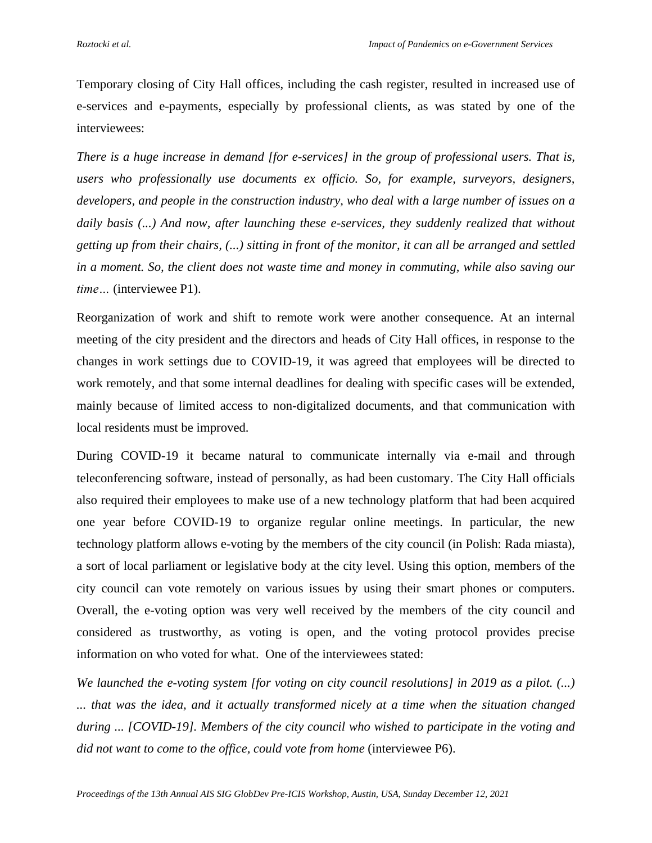Temporary closing of City Hall offices, including the cash register, resulted in increased use of e-services and e-payments, especially by professional clients, as was stated by one of the interviewees:

*There is a huge increase in demand [for e-services] in the group of professional users. That is, users who professionally use documents ex officio. So, for example, surveyors, designers, developers, and people in the construction industry, who deal with a large number of issues on a daily basis (...) And now, after launching these e-services, they suddenly realized that without getting up from their chairs, (...) sitting in front of the monitor, it can all be arranged and settled in a moment. So, the client does not waste time and money in commuting, while also saving our time…* (interviewee P1).

Reorganization of work and shift to remote work were another consequence. At an internal meeting of the city president and the directors and heads of City Hall offices, in response to the changes in work settings due to COVID-19, it was agreed that employees will be directed to work remotely, and that some internal deadlines for dealing with specific cases will be extended, mainly because of limited access to non-digitalized documents, and that communication with local residents must be improved.

During COVID-19 it became natural to communicate internally via e-mail and through teleconferencing software, instead of personally, as had been customary. The City Hall officials also required their employees to make use of a new technology platform that had been acquired one year before COVID-19 to organize regular online meetings. In particular, the new technology platform allows e-voting by the members of the city council (in Polish: Rada miasta), a sort of local parliament or legislative body at the city level. Using this option, members of the city council can vote remotely on various issues by using their smart phones or computers. Overall, the e-voting option was very well received by the members of the city council and considered as trustworthy, as voting is open, and the voting protocol provides precise information on who voted for what. One of the interviewees stated:

*We launched the e-voting system [for voting on city council resolutions] in 2019 as a pilot. (...) ... that was the idea, and it actually transformed nicely at a time when the situation changed during ... [COVID-19]. Members of the city council who wished to participate in the voting and did not want to come to the office, could vote from home* (interviewee P6).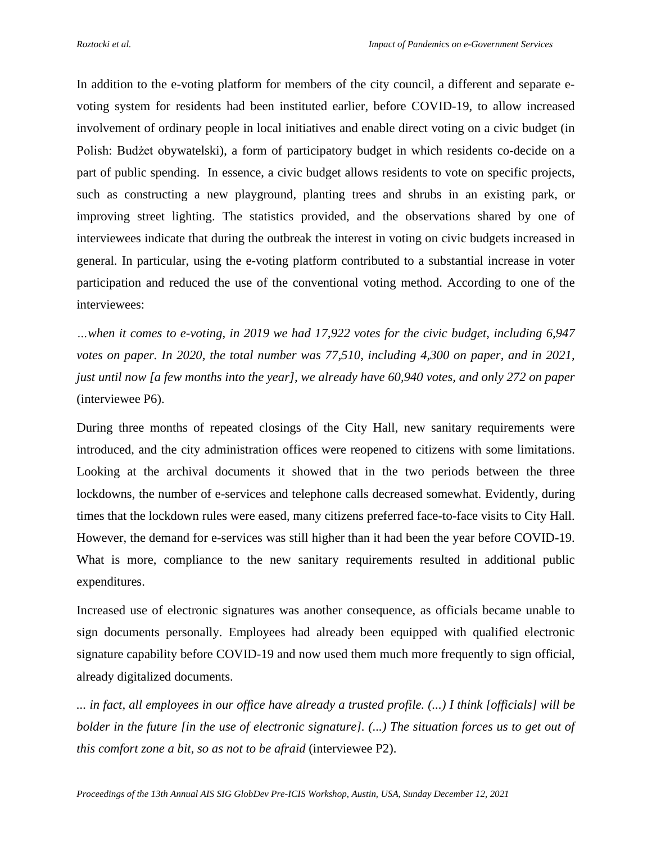In addition to the e-voting platform for members of the city council, a different and separate evoting system for residents had been instituted earlier, before COVID-19, to allow increased involvement of ordinary people in local initiatives and enable direct voting on a civic budget (in Polish: Budżet obywatelski), a form of participatory budget in which residents co-decide on a part of public spending. In essence, a civic budget allows residents to vote on specific projects, such as constructing a new playground, planting trees and shrubs in an existing park, or improving street lighting. The statistics provided, and the observations shared by one of interviewees indicate that during the outbreak the interest in voting on civic budgets increased in general. In particular, using the e-voting platform contributed to a substantial increase in voter participation and reduced the use of the conventional voting method. According to one of the interviewees:

*…when it comes to e-voting, in 2019 we had 17,922 votes for the civic budget, including 6,947 votes on paper. In 2020, the total number was 77,510, including 4,300 on paper, and in 2021, just until now [a few months into the year], we already have 60,940 votes, and only 272 on paper* (interviewee P6).

During three months of repeated closings of the City Hall, new sanitary requirements were introduced, and the city administration offices were reopened to citizens with some limitations. Looking at the archival documents it showed that in the two periods between the three lockdowns, the number of e-services and telephone calls decreased somewhat. Evidently, during times that the lockdown rules were eased, many citizens preferred face-to-face visits to City Hall. However, the demand for e-services was still higher than it had been the year before COVID-19. What is more, compliance to the new sanitary requirements resulted in additional public expenditures.

Increased use of electronic signatures was another consequence, as officials became unable to sign documents personally. Employees had already been equipped with qualified electronic signature capability before COVID-19 and now used them much more frequently to sign official, already digitalized documents.

*... in fact, all employees in our office have already a trusted profile. (...) I think [officials] will be bolder in the future [in the use of electronic signature]. (...) The situation forces us to get out of this comfort zone a bit, so as not to be afraid* (interviewee P2).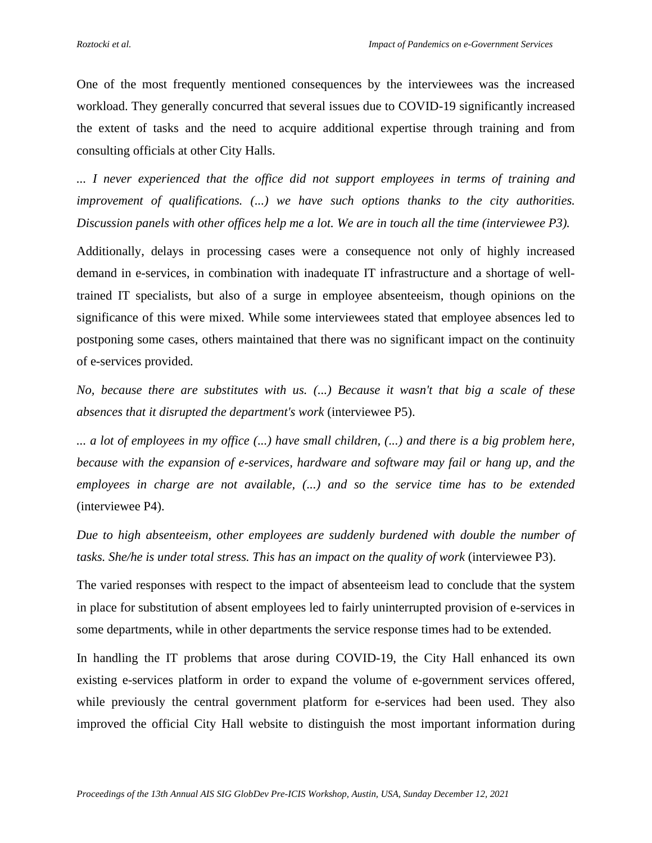One of the most frequently mentioned consequences by the interviewees was the increased workload. They generally concurred that several issues due to COVID-19 significantly increased the extent of tasks and the need to acquire additional expertise through training and from consulting officials at other City Halls.

*... I never experienced that the office did not support employees in terms of training and improvement of qualifications. (...) we have such options thanks to the city authorities. Discussion panels with other offices help me a lot. We are in touch all the time (interviewee P3).*

Additionally, delays in processing cases were a consequence not only of highly increased demand in e-services, in combination with inadequate IT infrastructure and a shortage of welltrained IT specialists, but also of a surge in employee absenteeism, though opinions on the significance of this were mixed. While some interviewees stated that employee absences led to postponing some cases, others maintained that there was no significant impact on the continuity of e-services provided.

*No, because there are substitutes with us. (...) Because it wasn't that big a scale of these absences that it disrupted the department's work* (interviewee P5).

*... a lot of employees in my office (...) have small children, (...) and there is a big problem here, because with the expansion of e-services, hardware and software may fail or hang up, and the employees in charge are not available, (...) and so the service time has to be extended* (interviewee P4).

*Due to high absenteeism, other employees are suddenly burdened with double the number of tasks. She/he is under total stress. This has an impact on the quality of work* (interviewee P3).

The varied responses with respect to the impact of absenteeism lead to conclude that the system in place for substitution of absent employees led to fairly uninterrupted provision of e-services in some departments, while in other departments the service response times had to be extended.

In handling the IT problems that arose during COVID-19, the City Hall enhanced its own existing e-services platform in order to expand the volume of e-government services offered, while previously the central government platform for e-services had been used. They also improved the official City Hall website to distinguish the most important information during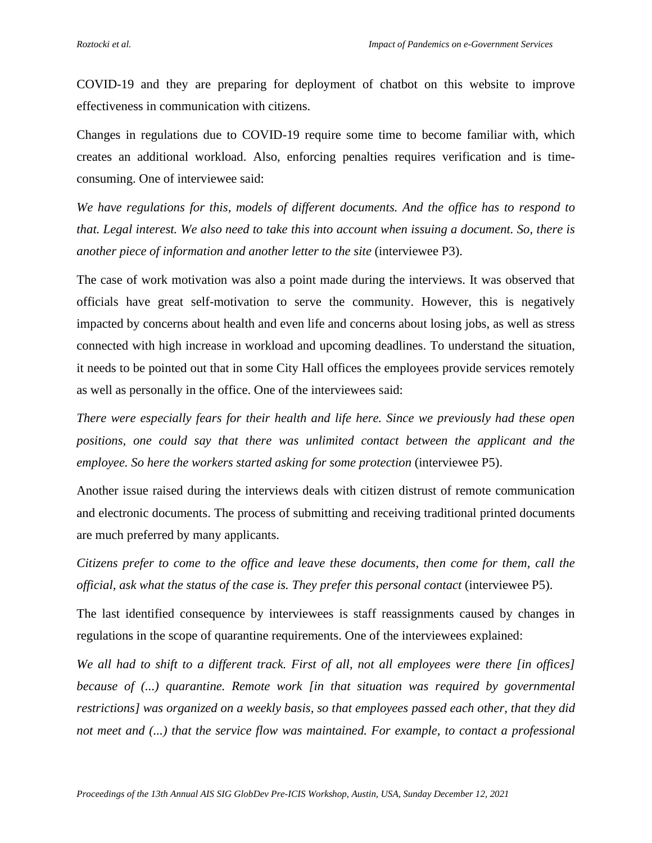COVID-19 and they are preparing for deployment of chatbot on this website to improve effectiveness in communication with citizens.

Changes in regulations due to COVID-19 require some time to become familiar with, which creates an additional workload. Also, enforcing penalties requires verification and is timeconsuming. One of interviewee said:

*We have regulations for this, models of different documents. And the office has to respond to that. Legal interest. We also need to take this into account when issuing a document. So, there is another piece of information and another letter to the site* (interviewee P3).

The case of work motivation was also a point made during the interviews. It was observed that officials have great self-motivation to serve the community. However, this is negatively impacted by concerns about health and even life and concerns about losing jobs, as well as stress connected with high increase in workload and upcoming deadlines. To understand the situation, it needs to be pointed out that in some City Hall offices the employees provide services remotely as well as personally in the office. One of the interviewees said:

*There were especially fears for their health and life here. Since we previously had these open positions, one could say that there was unlimited contact between the applicant and the employee. So here the workers started asking for some protection* (interviewee P5).

Another issue raised during the interviews deals with citizen distrust of remote communication and electronic documents. The process of submitting and receiving traditional printed documents are much preferred by many applicants.

*Citizens prefer to come to the office and leave these documents, then come for them, call the official, ask what the status of the case is. They prefer this personal contact* (interviewee P5).

The last identified consequence by interviewees is staff reassignments caused by changes in regulations in the scope of quarantine requirements. One of the interviewees explained:

*We all had to shift to a different track. First of all, not all employees were there [in offices] because of (...) quarantine. Remote work [in that situation was required by governmental restrictions] was organized on a weekly basis, so that employees passed each other, that they did not meet and (...) that the service flow was maintained. For example, to contact a professional*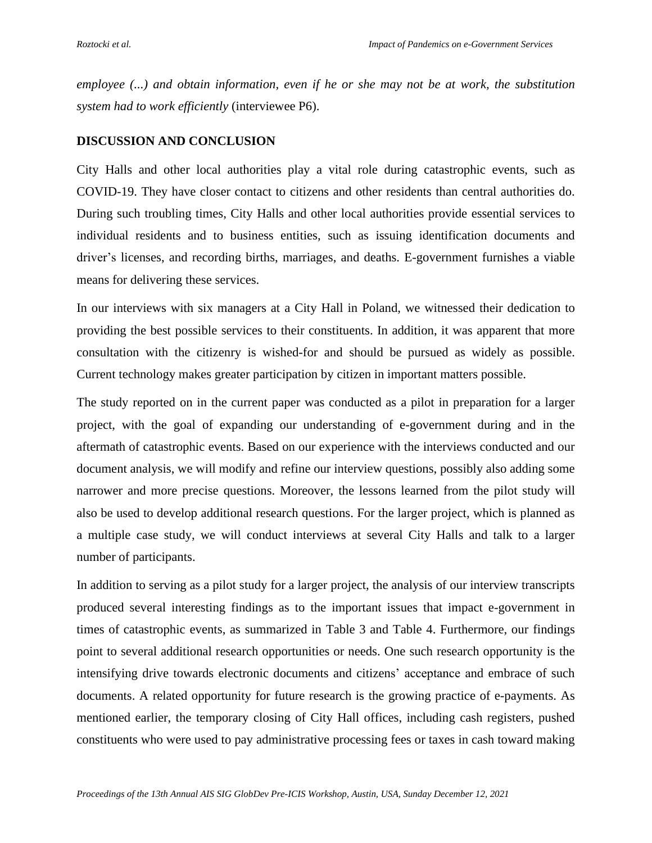*employee (...) and obtain information, even if he or she may not be at work, the substitution system had to work efficiently* (interviewee P6).

## **DISCUSSION AND CONCLUSION**

City Halls and other local authorities play a vital role during catastrophic events, such as COVID-19. They have closer contact to citizens and other residents than central authorities do. During such troubling times, City Halls and other local authorities provide essential services to individual residents and to business entities, such as issuing identification documents and driver's licenses, and recording births, marriages, and deaths. E-government furnishes a viable means for delivering these services.

In our interviews with six managers at a City Hall in Poland, we witnessed their dedication to providing the best possible services to their constituents. In addition, it was apparent that more consultation with the citizenry is wished-for and should be pursued as widely as possible. Current technology makes greater participation by citizen in important matters possible.

The study reported on in the current paper was conducted as a pilot in preparation for a larger project, with the goal of expanding our understanding of e-government during and in the aftermath of catastrophic events. Based on our experience with the interviews conducted and our document analysis, we will modify and refine our interview questions, possibly also adding some narrower and more precise questions. Moreover, the lessons learned from the pilot study will also be used to develop additional research questions. For the larger project, which is planned as a multiple case study, we will conduct interviews at several City Halls and talk to a larger number of participants.

In addition to serving as a pilot study for a larger project, the analysis of our interview transcripts produced several interesting findings as to the important issues that impact e-government in times of catastrophic events, as summarized in Table 3 and Table 4. Furthermore, our findings point to several additional research opportunities or needs. One such research opportunity is the intensifying drive towards electronic documents and citizens' acceptance and embrace of such documents. A related opportunity for future research is the growing practice of e-payments. As mentioned earlier, the temporary closing of City Hall offices, including cash registers, pushed constituents who were used to pay administrative processing fees or taxes in cash toward making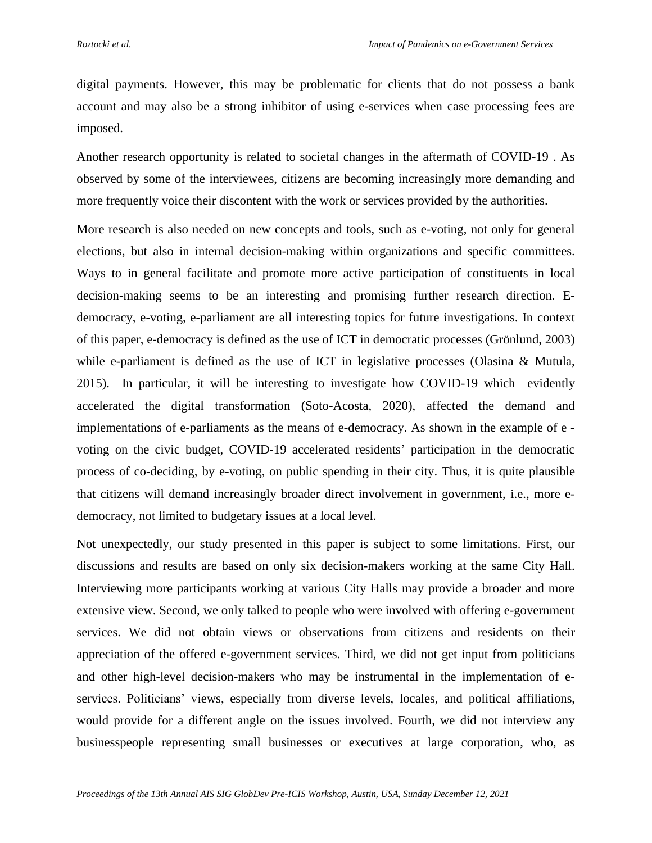digital payments. However, this may be problematic for clients that do not possess a bank account and may also be a strong inhibitor of using e-services when case processing fees are imposed.

Another research opportunity is related to societal changes in the aftermath of COVID-19 . As observed by some of the interviewees, citizens are becoming increasingly more demanding and more frequently voice their discontent with the work or services provided by the authorities.

More research is also needed on new concepts and tools, such as e-voting, not only for general elections, but also in internal decision-making within organizations and specific committees. Ways to in general facilitate and promote more active participation of constituents in local decision-making seems to be an interesting and promising further research direction. Edemocracy, e-voting, e-parliament are all interesting topics for future investigations. In context of this paper, e-democracy is defined as the use of ICT in democratic processes (Grönlund, 2003) while e-parliament is defined as the use of ICT in legislative processes (Olasina & Mutula, 2015). In particular, it will be interesting to investigate how COVID-19 which evidently accelerated the digital transformation (Soto-Acosta, 2020), affected the demand and implementations of e-parliaments as the means of e-democracy. As shown in the example of e voting on the civic budget, COVID-19 accelerated residents' participation in the democratic process of co-deciding, by e-voting, on public spending in their city. Thus, it is quite plausible that citizens will demand increasingly broader direct involvement in government, i.e., more edemocracy, not limited to budgetary issues at a local level.

Not unexpectedly, our study presented in this paper is subject to some limitations. First, our discussions and results are based on only six decision-makers working at the same City Hall. Interviewing more participants working at various City Halls may provide a broader and more extensive view. Second, we only talked to people who were involved with offering e-government services. We did not obtain views or observations from citizens and residents on their appreciation of the offered e-government services. Third, we did not get input from politicians and other high-level decision-makers who may be instrumental in the implementation of eservices. Politicians' views, especially from diverse levels, locales, and political affiliations, would provide for a different angle on the issues involved. Fourth, we did not interview any businesspeople representing small businesses or executives at large corporation, who, as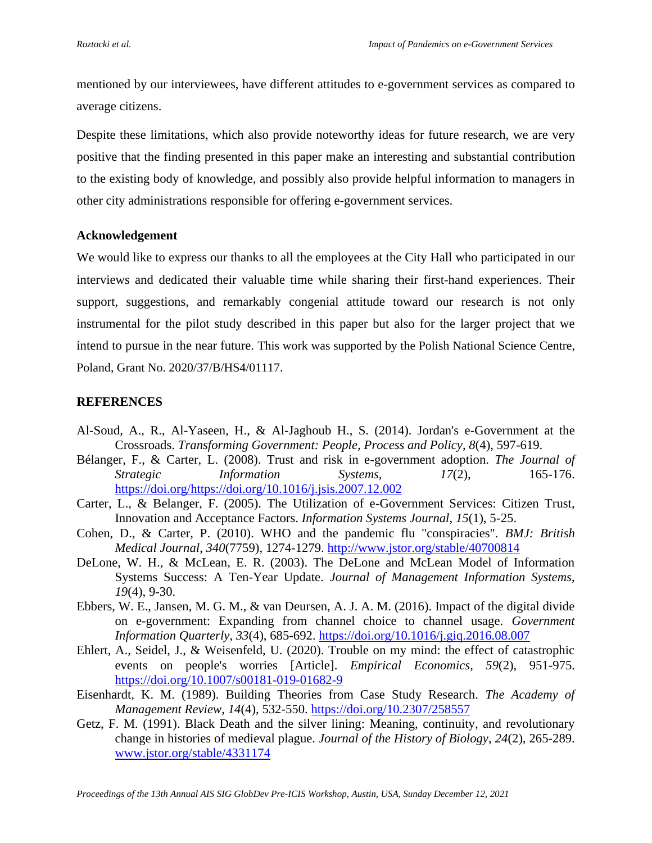mentioned by our interviewees, have different attitudes to e-government services as compared to average citizens.

Despite these limitations, which also provide noteworthy ideas for future research, we are very positive that the finding presented in this paper make an interesting and substantial contribution to the existing body of knowledge, and possibly also provide helpful information to managers in other city administrations responsible for offering e-government services.

### **Acknowledgement**

We would like to express our thanks to all the employees at the City Hall who participated in our interviews and dedicated their valuable time while sharing their first-hand experiences. Their support, suggestions, and remarkably congenial attitude toward our research is not only instrumental for the pilot study described in this paper but also for the larger project that we intend to pursue in the near future. This work was supported by the Polish National Science Centre, Poland, Grant No. 2020/37/B/HS4/01117.

# **REFERENCES**

- Al-Soud, A., R., Al-Yaseen, H., & Al-Jaghoub H., S. (2014). Jordan's e-Government at the Crossroads. *Transforming Government: People, Process and Policy*, *8*(4), 597-619.
- Bélanger, F., & Carter, L. (2008). Trust and risk in e-government adoption. *The Journal of Strategic Information Systems*, *17*(2), 165-176. [https://doi.org/https://doi.org/10.1016/j.jsis.2007.12.002](https://doi.org/https:/doi.org/10.1016/j.jsis.2007.12.002)
- Carter, L., & Belanger, F. (2005). The Utilization of e-Government Services: Citizen Trust, Innovation and Acceptance Factors. *Information Systems Journal*, *15*(1), 5-25.
- Cohen, D., & Carter, P. (2010). WHO and the pandemic flu "conspiracies". *BMJ: British Medical Journal*, *340*(7759), 1274-1279.<http://www.jstor.org/stable/40700814>
- DeLone, W. H., & McLean, E. R. (2003). The DeLone and McLean Model of Information Systems Success: A Ten-Year Update. *Journal of Management Information Systems*, *19*(4), 9-30.
- Ebbers, W. E., Jansen, M. G. M., & van Deursen, A. J. A. M. (2016). Impact of the digital divide on e-government: Expanding from channel choice to channel usage. *Government Information Quarterly*, *33*(4), 685-692.<https://doi.org/10.1016/j.giq.2016.08.007>
- Ehlert, A., Seidel, J., & Weisenfeld, U. (2020). Trouble on my mind: the effect of catastrophic events on people's worries [Article]. *Empirical Economics*, *59*(2), 951-975. <https://doi.org/10.1007/s00181-019-01682-9>
- Eisenhardt, K. M. (1989). Building Theories from Case Study Research. *The Academy of Management Review*, *14*(4), 532-550.<https://doi.org/10.2307/258557>
- Getz, F. M. (1991). Black Death and the silver lining: Meaning, continuity, and revolutionary change in histories of medieval plague. *Journal of the History of Biology*, *24*(2), 265-289. [www.jstor.org/stable/4331174](../../../../../../Library/Containers/com.apple.mail/Data/Library/Mail%20Downloads/1DB90591-4B05-4620-860E-1DF795F5A5CA/www.jstor.org/stable/4331174)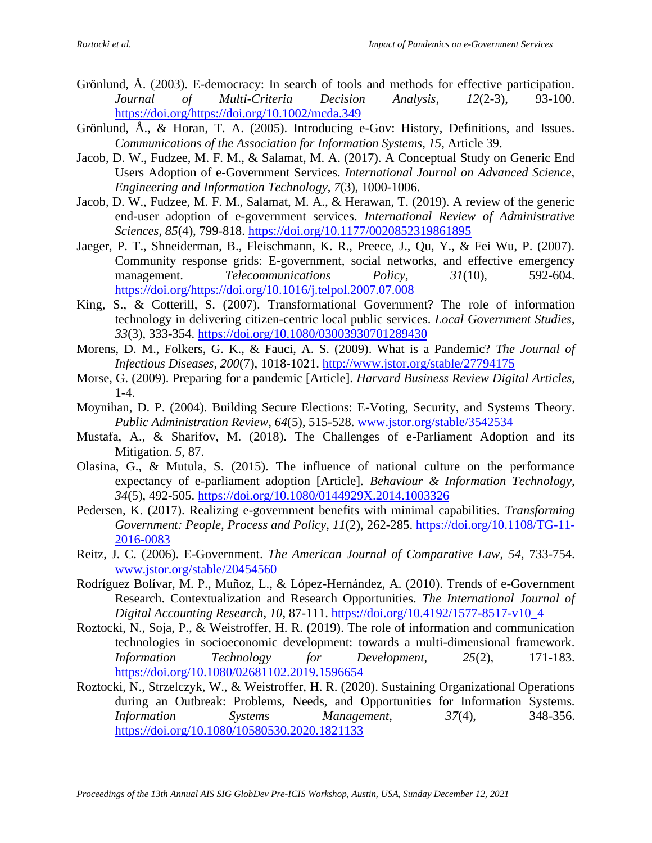- Grönlund, Å. (2003). E-democracy: In search of tools and methods for effective participation. *Journal of Multi-Criteria Decision Analysis*, *12*(2-3), 93-100. [https://doi.org/https://doi.org/10.1002/mcda.349](https://doi.org/https:/doi.org/10.1002/mcda.349)
- Grönlund, Å., & Horan, T. A. (2005). Introducing e-Gov: History, Definitions, and Issues. *Communications of the Association for Information Systems*, *15*, Article 39.
- Jacob, D. W., Fudzee, M. F. M., & Salamat, M. A. (2017). A Conceptual Study on Generic End Users Adoption of e-Government Services. *International Journal on Advanced Science, Engineering and Information Technology*, *7*(3), 1000-1006.
- Jacob, D. W., Fudzee, M. F. M., Salamat, M. A., & Herawan, T. (2019). A review of the generic end-user adoption of e-government services. *International Review of Administrative Sciences*, *85*(4), 799-818.<https://doi.org/10.1177/0020852319861895>
- Jaeger, P. T., Shneiderman, B., Fleischmann, K. R., Preece, J., Qu, Y., & Fei Wu, P. (2007). Community response grids: E-government, social networks, and effective emergency management. *Telecommunications Policy*, *31*(10), 592-604. [https://doi.org/https://doi.org/10.1016/j.telpol.2007.07.008](https://doi.org/https:/doi.org/10.1016/j.telpol.2007.07.008)
- King, S., & Cotterill, S. (2007). Transformational Government? The role of information technology in delivering citizen-centric local public services. *Local Government Studies*, *33*(3), 333-354.<https://doi.org/10.1080/03003930701289430>
- Morens, D. M., Folkers, G. K., & Fauci, A. S. (2009). What is a Pandemic? *The Journal of Infectious Diseases*, *200*(7), 1018-1021.<http://www.jstor.org/stable/27794175>
- Morse, G. (2009). Preparing for a pandemic [Article]. *Harvard Business Review Digital Articles*, 1-4.
- Moynihan, D. P. (2004). Building Secure Elections: E-Voting, Security, and Systems Theory. *Public Administration Review*, *64*(5), 515-528. [www.jstor.org/stable/3542534](../../../../../../Library/Containers/com.apple.mail/Data/Library/Mail%20Downloads/1DB90591-4B05-4620-860E-1DF795F5A5CA/www.jstor.org/stable/3542534)
- Mustafa, A., & Sharifov, M. (2018). The Challenges of e-Parliament Adoption and its Mitigation. *5*, 87.
- Olasina, G., & Mutula, S. (2015). The influence of national culture on the performance expectancy of e-parliament adoption [Article]. *Behaviour & Information Technology*, *34*(5), 492-505.<https://doi.org/10.1080/0144929X.2014.1003326>
- Pedersen, K. (2017). Realizing e-government benefits with minimal capabilities. *Transforming Government: People, Process and Policy*, *11*(2), 262-285. [https://doi.org/10.1108/TG-11-](https://doi.org/10.1108/TG-11-2016-0083) [2016-0083](https://doi.org/10.1108/TG-11-2016-0083)
- Reitz, J. C. (2006). E-Government. *The American Journal of Comparative Law*, *54*, 733-754. [www.jstor.org/stable/20454560](../../../../../../Library/Containers/com.apple.mail/Data/Library/Mail%20Downloads/1DB90591-4B05-4620-860E-1DF795F5A5CA/www.jstor.org/stable/20454560)
- Rodríguez Bolívar, M. P., Muñoz, L., & López-Hernández, A. (2010). Trends of e-Government Research. Contextualization and Research Opportunities. *The International Journal of Digital Accounting Research*, *10*, 87-111. [https://doi.org/10.4192/1577-8517-v10\\_4](https://doi.org/10.4192/1577-8517-v10_4)
- Roztocki, N., Soja, P., & Weistroffer, H. R. (2019). The role of information and communication technologies in socioeconomic development: towards a multi-dimensional framework. *Information Technology for Development*, *25*(2), 171-183. <https://doi.org/10.1080/02681102.2019.1596654>
- Roztocki, N., Strzelczyk, W., & Weistroffer, H. R. (2020). Sustaining Organizational Operations during an Outbreak: Problems, Needs, and Opportunities for Information Systems. *Information Systems Management*, *37*(4), 348-356. <https://doi.org/10.1080/10580530.2020.1821133>